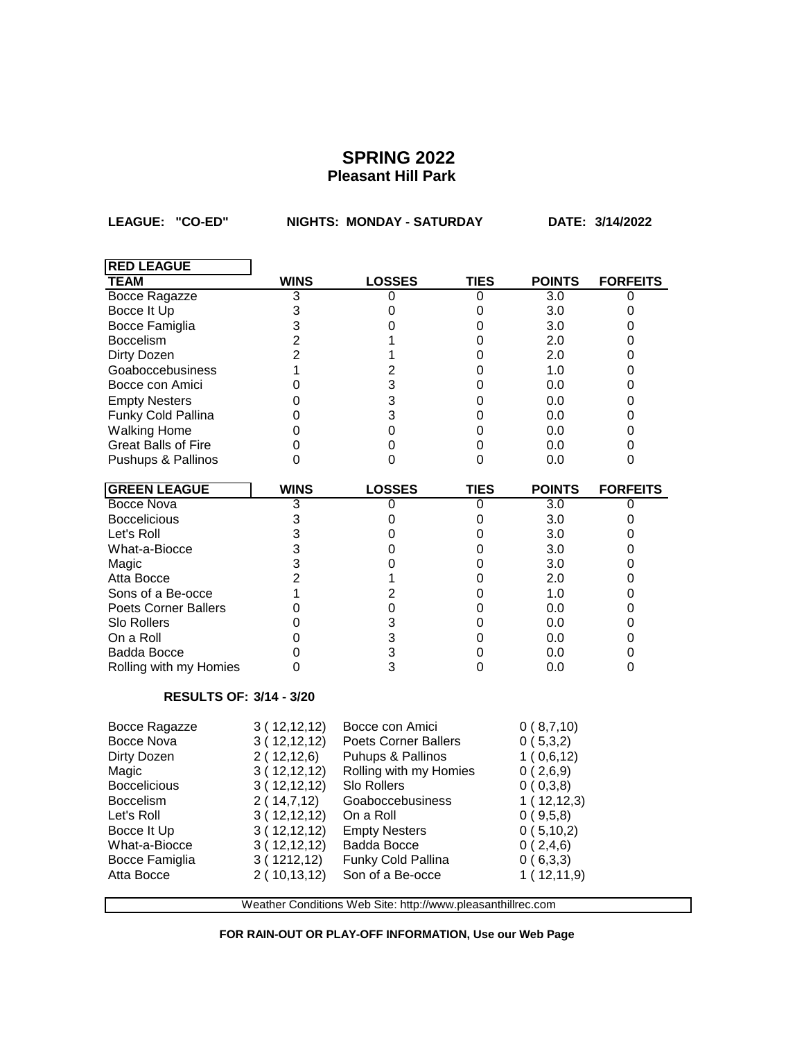**LEAGUE: "CO-ED" NIGHTS: MONDAY - SATURDAY DATE: 3/14/2022**

| <b>RED LEAGUE</b>                                           |                |                             |             |               |                  |  |
|-------------------------------------------------------------|----------------|-----------------------------|-------------|---------------|------------------|--|
| TEAM                                                        | <b>WINS</b>    | <b>LOSSES</b>               | <b>TIES</b> | <b>POINTS</b> | <b>FORFEITS</b>  |  |
| <b>Bocce Ragazze</b>                                        | 3              | 0                           | 0           | 3.0           | 0                |  |
| Bocce It Up                                                 | 3              | 0                           | 0           | 3.0           | 0                |  |
| Bocce Famiglia                                              | 3              | 0                           | 0           | 3.0           | 0                |  |
| <b>Boccelism</b>                                            | $\overline{2}$ | 1                           | 0           | 2.0           | 0                |  |
| Dirty Dozen                                                 | $\overline{2}$ | 1                           | 0           | 2.0           | 0                |  |
| Goaboccebusiness                                            | 1              | $\overline{2}$              | 0           | 1.0           | 0                |  |
| Bocce con Amici                                             | 0              | 3                           | 0           | 0.0           | 0                |  |
| <b>Empty Nesters</b>                                        | 0              | 3                           | 0           | 0.0           | 0                |  |
| Funky Cold Pallina                                          | 0              | 3                           | 0           | 0.0           | 0                |  |
| <b>Walking Home</b>                                         | 0              | 0                           | 0           | 0.0           | 0                |  |
| <b>Great Balls of Fire</b>                                  | 0              | 0                           | 0           | 0.0           | $\mathbf 0$      |  |
| Pushups & Pallinos                                          | 0              | $\Omega$                    | 0           | 0.0           | 0                |  |
| <b>GREEN LEAGUE</b>                                         | <b>WINS</b>    | <b>LOSSES</b>               | <b>TIES</b> | <b>POINTS</b> | <b>FORFEITS</b>  |  |
| Bocce Nova                                                  | 3              | 0                           | 0           | 3.0           | 0                |  |
| <b>Boccelicious</b>                                         | 3              | $\pmb{0}$                   | 0           | 3.0           | $\boldsymbol{0}$ |  |
| Let's Roll                                                  | 3              | $\mathbf 0$                 | 0           | 3.0           | $\mathsf 0$      |  |
| What-a-Biocce                                               | 3              | 0                           | 0           | 3.0           | 0                |  |
| Magic                                                       | 3              | 0                           | 0           | 3.0           | 0                |  |
| Atta Bocce                                                  | $\overline{2}$ | 1                           | 0           | 2.0           | $\mathbf 0$      |  |
| Sons of a Be-occe                                           | 1              | $\overline{2}$              | 0           | 1.0           | 0                |  |
| <b>Poets Corner Ballers</b>                                 | 0              | $\mathbf 0$                 | 0           | 0.0           | 0                |  |
| Slo Rollers                                                 | $\overline{0}$ | 3                           | 0           | 0.0           | 0                |  |
| On a Roll                                                   | 0              | 3                           | 0           | 0.0           | 0                |  |
| <b>Badda Bocce</b>                                          | 0              | 3                           | 0           | 0.0           | $\mathbf 0$      |  |
| Rolling with my Homies                                      | 0              | 3                           | 0           | 0.0           | 0                |  |
| <b>RESULTS OF: 3/14 - 3/20</b>                              |                |                             |             |               |                  |  |
| Bocce Ragazze                                               | 3(12,12,12)    | Bocce con Amici             |             | 0(8,7,10)     |                  |  |
| <b>Bocce Nova</b>                                           | 3(12,12,12)    | <b>Poets Corner Ballers</b> |             | 0(5,3,2)      |                  |  |
| Dirty Dozen                                                 | 2(12,12,6)     | Puhups & Pallinos           |             | 1(0,6,12)     |                  |  |
| Magic                                                       | 3(12,12,12)    | Rolling with my Homies      |             | 0(2,6,9)      |                  |  |
| <b>Boccelicious</b>                                         | 3(12,12,12)    | Slo Rollers                 |             | 0(0,3,8)      |                  |  |
| <b>Boccelism</b>                                            | 2(14,7,12)     | Goaboccebusiness            |             | 1(12,12,3)    |                  |  |
| Let's Roll                                                  | 3(12,12,12)    | On a Roll                   |             | 0(9,5,8)      |                  |  |
| Bocce It Up                                                 | 3(12,12,12)    | <b>Empty Nesters</b>        |             | 0(5,10,2)     |                  |  |
| What-a-Biocce                                               | 3(12,12,12)    | Badda Bocce                 |             | 0(2,4,6)      |                  |  |
| Bocce Famiglia                                              | 3(1212,12)     | Funky Cold Pallina          |             | 0(6,3,3)      |                  |  |
| Atta Bocce                                                  | 2(10, 13, 12)  | Son of a Be-occe            |             | 1(12,11,9)    |                  |  |
|                                                             |                |                             |             |               |                  |  |
| Weather Conditions Web Site: http://www.pleasanthillrec.com |                |                             |             |               |                  |  |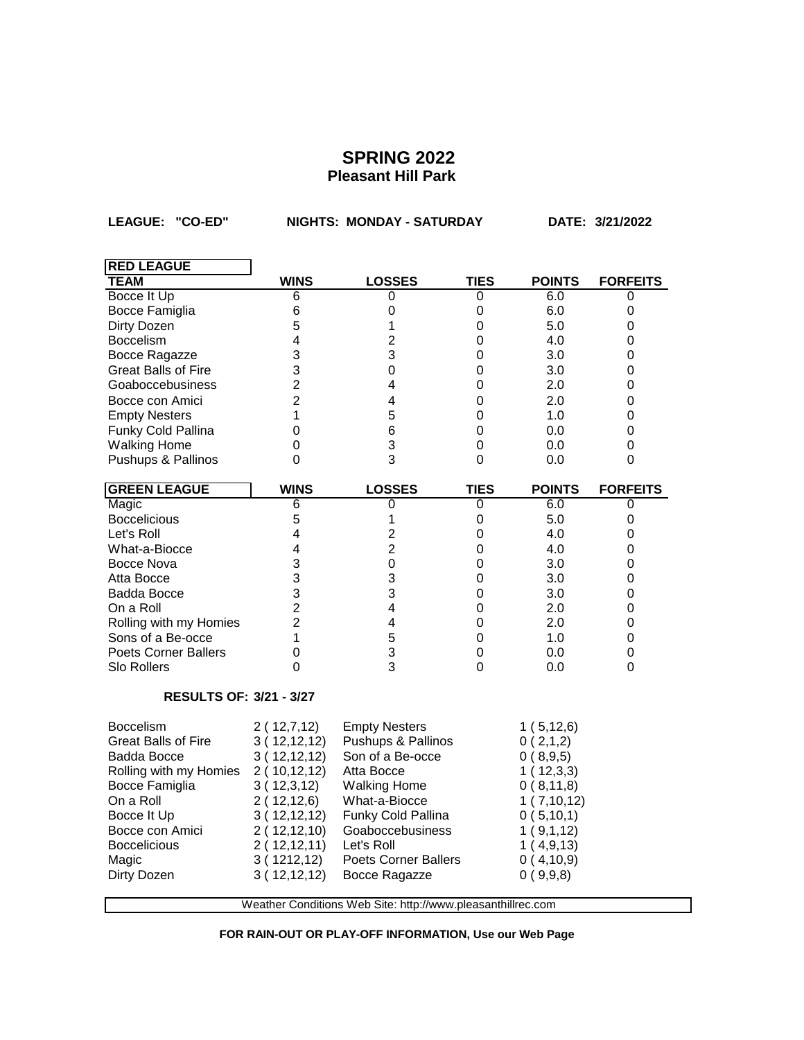LEAGUE: "CO-ED" **NIGHTS: MONDAY - SATURDAY** DATE: 3/21/2022

| <b>RED LEAGUE</b>              |                                                             |                             |             |               |                 |  |
|--------------------------------|-------------------------------------------------------------|-----------------------------|-------------|---------------|-----------------|--|
| <b>TEAM</b>                    | <b>WINS</b>                                                 | <b>LOSSES</b>               | <b>TIES</b> | <b>POINTS</b> | <b>FORFEITS</b> |  |
| Bocce It Up                    | 6                                                           | 0                           | 0           | 6.0           | 0               |  |
| Bocce Famiglia                 | 6                                                           | 0                           | 0           | 6.0           | $\mathbf 0$     |  |
| Dirty Dozen                    | 5                                                           | 1                           | 0           | 5.0           | 0               |  |
| <b>Boccelism</b>               | $\overline{4}$                                              | $\overline{c}$              | $\mathbf 0$ | 4.0           | $\mathbf 0$     |  |
| Bocce Ragazze                  | 3                                                           | 3                           | $\mathbf 0$ | 3.0           | 0               |  |
| <b>Great Balls of Fire</b>     | 3                                                           | $\pmb{0}$                   | $\mathsf 0$ | 3.0           | $\mathsf 0$     |  |
| Goaboccebusiness               | $\overline{2}$                                              | 4                           | $\mathbf 0$ | 2.0           | 0               |  |
| Bocce con Amici                | $\overline{2}$                                              | 4                           | $\mathbf 0$ | 2.0           | 0               |  |
| <b>Empty Nesters</b>           | 1                                                           | 5                           | 0           | 1.0           | 0               |  |
| Funky Cold Pallina             | 0                                                           | 6                           | $\mathbf 0$ | 0.0           | $\mathbf 0$     |  |
| <b>Walking Home</b>            | 0                                                           | 3                           | 0           | 0.0           | 0               |  |
| Pushups & Pallinos             | 0                                                           | 3                           | 0           | 0.0           | 0               |  |
| <b>GREEN LEAGUE</b>            | <b>WINS</b>                                                 | <b>LOSSES</b>               | <b>TIES</b> | <b>POINTS</b> | <b>FORFEITS</b> |  |
| Magic                          | 6                                                           | 0                           | 0           | 6.0           | 0               |  |
| <b>Boccelicious</b>            | 5                                                           | 1                           | $\mathbf 0$ | 5.0           | 0               |  |
| Let's Roll                     | 4                                                           | $\overline{2}$              | $\mathbf 0$ | 4.0           | $\mathbf 0$     |  |
| What-a-Biocce                  | 4                                                           | $\overline{2}$              | 0           | 4.0           | 0               |  |
| Bocce Nova                     | 3                                                           | $\mathbf 0$                 | $\mathsf 0$ | 3.0           | $\mathsf 0$     |  |
| Atta Bocce                     | 3                                                           | 3                           | 0           | 3.0           | 0               |  |
| Badda Bocce                    | 3                                                           | 3                           | 0           | 3.0           | 0               |  |
| On a Roll                      | $\overline{2}$                                              | 4                           | $\mathbf 0$ | 2.0           | 0               |  |
| Rolling with my Homies         | $\overline{2}$                                              | $\overline{4}$              | $\mathbf 0$ | 2.0           | $\mathbf 0$     |  |
| Sons of a Be-occe              | 1                                                           | 5                           | $\mathbf 0$ | 1.0           | 0               |  |
| <b>Poets Corner Ballers</b>    | 0                                                           | 3                           | $\mathsf 0$ | 0.0           | $\mathsf 0$     |  |
| <b>Slo Rollers</b>             | 0                                                           | 3                           | 0           | 0.0           | 0               |  |
| <b>RESULTS OF: 3/21 - 3/27</b> |                                                             |                             |             |               |                 |  |
| <b>Boccelism</b>               | 2(12,7,12)                                                  | <b>Empty Nesters</b>        |             | 1(5, 12, 6)   |                 |  |
| <b>Great Balls of Fire</b>     | 3(12,12,12)                                                 | Pushups & Pallinos          |             | 0(2,1,2)      |                 |  |
| Badda Bocce                    | 3(12,12,12)                                                 | Son of a Be-occe            |             | 0(8,9,5)      |                 |  |
| Rolling with my Homies         | 2(10,12,12)                                                 | Atta Bocce                  |             | 1(12,3,3)     |                 |  |
| Bocce Famiglia                 | 3(12,3,12)                                                  | <b>Walking Home</b>         |             | 0(8,11,8)     |                 |  |
| On a Roll                      | 2(12,12,6)                                                  | What-a-Biocce               |             | 1(7,10,12)    |                 |  |
| Bocce It Up                    | 3(12,12,12)                                                 | Funky Cold Pallina          |             | 0(5,10,1)     |                 |  |
| Bocce con Amici                | 2(12,12,10)                                                 | Goaboccebusiness            |             | 1(9,1,12)     |                 |  |
| <b>Boccelicious</b>            | 2(12,12,11)                                                 | Let's Roll                  |             | 1(4,9,13)     |                 |  |
| Magic                          | 3(1212,12)                                                  | <b>Poets Corner Ballers</b> |             | 0(4,10,9)     |                 |  |
| Dirty Dozen                    | 3(12,12,12)                                                 | Bocce Ragazze               |             | 0(9,9,8)      |                 |  |
|                                |                                                             |                             |             |               |                 |  |
|                                | Weather Conditions Web Site: http://www.pleasanthillrec.com |                             |             |               |                 |  |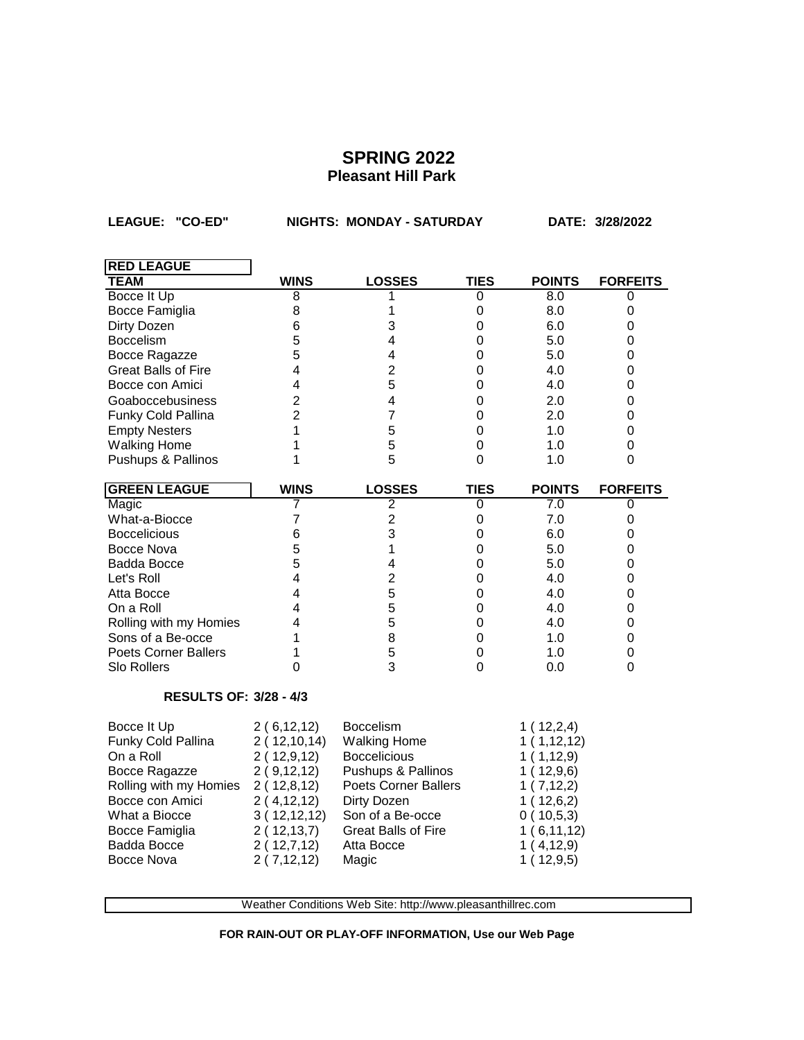**LEAGUE: "CO-ED" NIGHTS: MONDAY - SATURDAY DATE: 3/28/2022**

| <b>RED LEAGUE</b>                                                                                                                                                            |                                                                                                                                                  |                                                                                                                                                                                                      |                |                                                                                                                                  |                 |
|------------------------------------------------------------------------------------------------------------------------------------------------------------------------------|--------------------------------------------------------------------------------------------------------------------------------------------------|------------------------------------------------------------------------------------------------------------------------------------------------------------------------------------------------------|----------------|----------------------------------------------------------------------------------------------------------------------------------|-----------------|
| <b>TEAM</b>                                                                                                                                                                  | <b>WINS</b>                                                                                                                                      | <b>LOSSES</b>                                                                                                                                                                                        | <b>TIES</b>    | <b>POINTS</b>                                                                                                                    | <b>FORFEITS</b> |
| Bocce It Up                                                                                                                                                                  | 8                                                                                                                                                |                                                                                                                                                                                                      | 0              | 8.0                                                                                                                              | 0               |
| Bocce Famiglia                                                                                                                                                               | 8                                                                                                                                                | 1                                                                                                                                                                                                    | $\mathbf 0$    | 8.0                                                                                                                              | 0               |
| Dirty Dozen                                                                                                                                                                  | 6                                                                                                                                                | 3                                                                                                                                                                                                    | $\mathbf 0$    | 6.0                                                                                                                              | $\mathbf 0$     |
| <b>Boccelism</b>                                                                                                                                                             | 5                                                                                                                                                | 4                                                                                                                                                                                                    | $\mathbf 0$    | 5.0                                                                                                                              | 0               |
| Bocce Ragazze                                                                                                                                                                | 5                                                                                                                                                | 4                                                                                                                                                                                                    | $\mathbf 0$    | 5.0                                                                                                                              | $\mathbf 0$     |
| <b>Great Balls of Fire</b>                                                                                                                                                   | 4                                                                                                                                                | $\overline{2}$                                                                                                                                                                                       | 0              | 4.0                                                                                                                              | 0               |
| Bocce con Amici                                                                                                                                                              | 4                                                                                                                                                | 5                                                                                                                                                                                                    | $\mathbf 0$    | 4.0                                                                                                                              | $\mathbf 0$     |
| Goaboccebusiness                                                                                                                                                             | $\overline{2}$                                                                                                                                   | 4                                                                                                                                                                                                    | $\mathbf 0$    | 2.0                                                                                                                              | $\mathbf 0$     |
| Funky Cold Pallina                                                                                                                                                           | $\overline{2}$                                                                                                                                   | 7                                                                                                                                                                                                    | $\mathbf 0$    | 2.0                                                                                                                              | 0               |
| <b>Empty Nesters</b>                                                                                                                                                         | 1                                                                                                                                                | 5                                                                                                                                                                                                    | 0              | 1.0                                                                                                                              | $\mathbf 0$     |
| <b>Walking Home</b>                                                                                                                                                          | 1                                                                                                                                                | 5                                                                                                                                                                                                    | 0              | 1.0                                                                                                                              | 0               |
| Pushups & Pallinos                                                                                                                                                           | 1                                                                                                                                                | 5                                                                                                                                                                                                    | 0              | 1.0                                                                                                                              | $\mathbf 0$     |
| <b>GREEN LEAGUE</b>                                                                                                                                                          | <b>WINS</b>                                                                                                                                      | <b>LOSSES</b>                                                                                                                                                                                        | <b>TIES</b>    | <b>POINTS</b>                                                                                                                    | <b>FORFEITS</b> |
| Magic                                                                                                                                                                        | 7                                                                                                                                                | $\overline{2}$                                                                                                                                                                                       | $\overline{0}$ | 7.0                                                                                                                              | 0               |
| What-a-Biocce                                                                                                                                                                | $\overline{7}$                                                                                                                                   | $\overline{2}$                                                                                                                                                                                       | $\mathbf 0$    | 7.0                                                                                                                              | 0               |
| <b>Boccelicious</b>                                                                                                                                                          | 6                                                                                                                                                | 3                                                                                                                                                                                                    | $\mathbf 0$    | 6.0                                                                                                                              | $\mathbf 0$     |
| Bocce Nova                                                                                                                                                                   | 5                                                                                                                                                | 1                                                                                                                                                                                                    | 0              | 5.0                                                                                                                              | 0               |
| Badda Bocce                                                                                                                                                                  | 5                                                                                                                                                | 4                                                                                                                                                                                                    | 0              | 5.0                                                                                                                              | 0               |
| Let's Roll                                                                                                                                                                   | 4                                                                                                                                                | $\overline{2}$                                                                                                                                                                                       | $\mathbf 0$    | 4.0                                                                                                                              | $\mathbf 0$     |
| Atta Bocce                                                                                                                                                                   | 4                                                                                                                                                | 5                                                                                                                                                                                                    | 0              | 4.0                                                                                                                              | $\mathbf 0$     |
| On a Roll                                                                                                                                                                    | 4                                                                                                                                                | 5                                                                                                                                                                                                    | $\mathbf 0$    | 4.0                                                                                                                              | $\mathbf 0$     |
| Rolling with my Homies                                                                                                                                                       | 4                                                                                                                                                | 5                                                                                                                                                                                                    | $\mathbf 0$    | 4.0                                                                                                                              | $\mathbf 0$     |
| Sons of a Be-occe                                                                                                                                                            | 1                                                                                                                                                | 8                                                                                                                                                                                                    | $\mathbf 0$    | 1.0                                                                                                                              | $\mathbf 0$     |
| <b>Poets Corner Ballers</b>                                                                                                                                                  | 1                                                                                                                                                | 5                                                                                                                                                                                                    | 0              | 1.0                                                                                                                              | 0               |
| Slo Rollers                                                                                                                                                                  | 0                                                                                                                                                | 3                                                                                                                                                                                                    | 0              | 0.0                                                                                                                              | $\overline{0}$  |
| <b>RESULTS OF: 3/28 - 4/3</b>                                                                                                                                                |                                                                                                                                                  |                                                                                                                                                                                                      |                |                                                                                                                                  |                 |
| Bocce It Up<br>Funky Cold Pallina<br>On a Roll<br>Bocce Ragazze<br>Rolling with my Homies<br>Bocce con Amici<br>What a Biocce<br>Bocce Famiglia<br>Badda Bocce<br>Bocce Nova | 2(6,12,12)<br>2(12,10,14)<br>2(12,9,12)<br>2(9,12,12)<br>2(12,8,12)<br>2(4, 12, 12)<br>3(12,12,12)<br>2(12, 13, 7)<br>2(12,7,12)<br>2(7, 12, 12) | Boccelism<br><b>Walking Home</b><br><b>Boccelicious</b><br>Pushups & Pallinos<br><b>Poets Corner Ballers</b><br>Dirty Dozen<br>Son of a Be-occe<br><b>Great Balls of Fire</b><br>Atta Bocce<br>Magic |                | 1(12,2,4)<br>1(1,12,12)<br>1(1,12,9)<br>1(12,9,6)<br>1(7,12,2)<br>1(12,6,2)<br>0(10,5,3)<br>1(6,11,12)<br>1(4,12,9)<br>1(12,9,5) |                 |

Weather Conditions Web Site: http://www.pleasanthillrec.com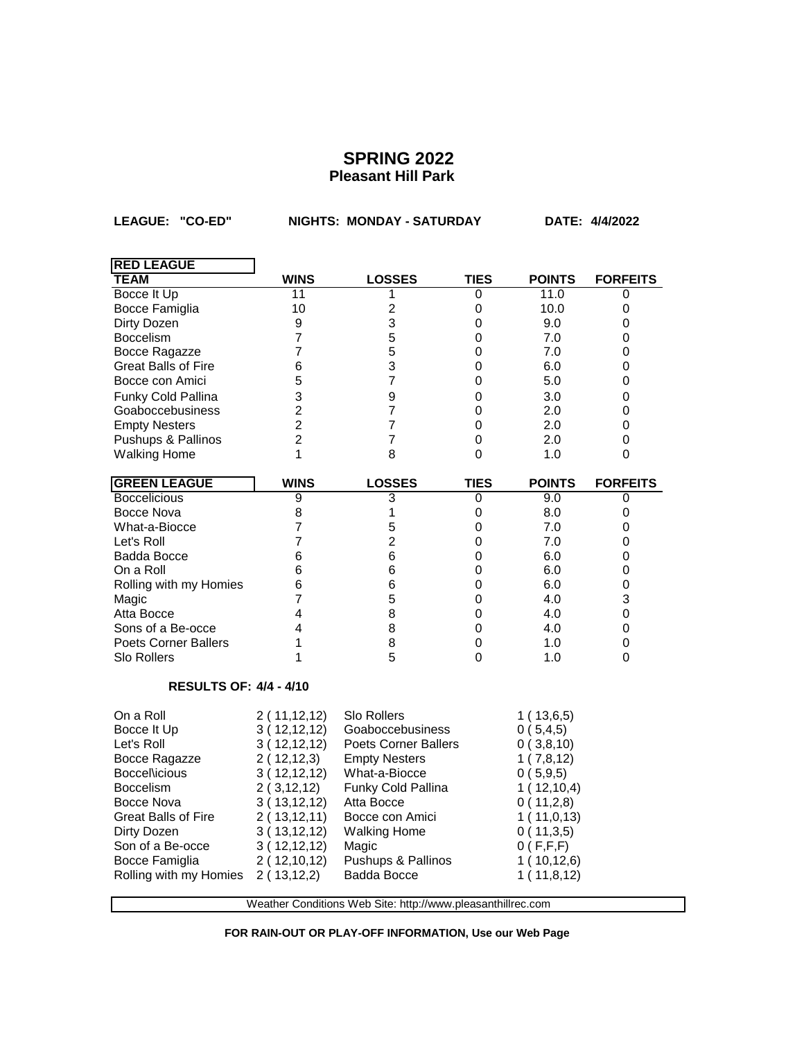**LEAGUE: "CO-ED" NIGHTS: MONDAY - SATURDAY DATE: 4/4/2022**

| <b>RED LEAGUE</b>             |                |                                                             |                  |               |                 |
|-------------------------------|----------------|-------------------------------------------------------------|------------------|---------------|-----------------|
| <b>TEAM</b>                   | <b>WINS</b>    | <b>LOSSES</b>                                               | TIES             | <b>POINTS</b> | <b>FORFEITS</b> |
| Bocce It Up                   | 11             | 1                                                           | 0                | 11.0          | 0               |
| Bocce Famiglia                | 10             | $\overline{c}$                                              | 0                | 10.0          | 0               |
| Dirty Dozen                   | 9              | 3                                                           | 0                | 9.0           | 0               |
| <b>Boccelism</b>              | $\overline{7}$ | 5                                                           | 0                | 7.0           | 0               |
| Bocce Ragazze                 | $\overline{7}$ | 5                                                           | $\mathbf 0$      | 7.0           | 0               |
| <b>Great Balls of Fire</b>    | 6              | 3                                                           | 0                | 6.0           | 0               |
| Bocce con Amici               | 5              | $\overline{7}$                                              | 0                | 5.0           | 0               |
| Funky Cold Pallina            | 3              | 9                                                           | 0                | 3.0           | 0               |
| Goaboccebusiness              | $\overline{2}$ | $\overline{7}$                                              | 0                | 2.0           | 0               |
| <b>Empty Nesters</b>          | $\overline{2}$ | $\overline{7}$                                              | 0                | 2.0           | 0               |
| Pushups & Pallinos            | $\overline{2}$ | $\overline{7}$                                              | 0                | 2.0           | 0               |
| <b>Walking Home</b>           | 1              | 8                                                           | 0                | 1.0           | 0               |
| <b>GREEN LEAGUE</b>           | <b>WINS</b>    | <b>LOSSES</b>                                               | <b>TIES</b>      | <b>POINTS</b> | <b>FORFEITS</b> |
| <b>Boccelicious</b>           | $\overline{9}$ | 3                                                           | 0                | 9.0           | 0               |
| Bocce Nova                    | 8              | 1                                                           | 0                | 8.0           | 0               |
| What-a-Biocce                 | $\overline{7}$ | 5                                                           | $\mathbf 0$      | 7.0           | 0               |
| Let's Roll                    | 7              | $\overline{2}$                                              | 0                | 7.0           | 0               |
| Badda Bocce                   | 6              | 6                                                           | 0                | 6.0           | 0               |
| On a Roll                     | 6              | 6                                                           | $\boldsymbol{0}$ | 6.0           | 0               |
| Rolling with my Homies        | 6              | 6                                                           | $\boldsymbol{0}$ | 6.0           | 0               |
| Magic                         | 7              | 5                                                           | 0                | 4.0           | 3               |
| Atta Bocce                    | 4              | 8                                                           | $\mathbf 0$      | 4.0           | 0               |
| Sons of a Be-occe             | 4              | 8                                                           | 0                | 4.0           | 0               |
| <b>Poets Corner Ballers</b>   | 1              | 8                                                           | 0                | 1.0           | 0               |
| Slo Rollers                   | 1              | 5                                                           | 0                | 1.0           | 0               |
| <b>RESULTS OF: 4/4 - 4/10</b> |                |                                                             |                  |               |                 |
| On a Roll                     | 2(11,12,12)    | <b>Slo Rollers</b>                                          |                  | 1(13,6,5)     |                 |
| Bocce It Up                   | 3(12,12,12)    | Goaboccebusiness                                            |                  | 0(5,4,5)      |                 |
| Let's Roll                    | 3(12,12,12)    | <b>Poets Corner Ballers</b>                                 |                  | 0(3,8,10)     |                 |
| Bocce Ragazze                 | 2(12,12,3)     | <b>Empty Nesters</b>                                        |                  | 1(7,8,12)     |                 |
| Boccel\icious                 | 3(12,12,12)    | What-a-Biocce                                               |                  | 0(5,9,5)      |                 |
| <b>Boccelism</b>              | 2(3, 12, 12)   | Funky Cold Pallina                                          |                  | 1(12,10,4)    |                 |
| Bocce Nova                    | 3(13, 12, 12)  | Atta Bocce                                                  |                  | 0(11,2,8)     |                 |
| <b>Great Balls of Fire</b>    | 2(13, 12, 11)  | Bocce con Amici                                             |                  | 1(11,0,13)    |                 |
| Dirty Dozen                   | 3(13, 12, 12)  | <b>Walking Home</b>                                         |                  | 0(11,3,5)     |                 |
| Son of a Be-occe              | 3(12,12,12)    | Magic                                                       |                  | 0(F,F,F)      |                 |
| Bocce Famiglia                | 2(12,10,12)    | Pushups & Pallinos                                          |                  | 1(10,12,6)    |                 |
| Rolling with my Homies        | 2(13, 12, 2)   | Badda Bocce                                                 |                  | 1(11,8,12)    |                 |
|                               |                | Weather Conditions Web Site: http://www.pleasanthillrec.com |                  |               |                 |
|                               |                |                                                             |                  |               |                 |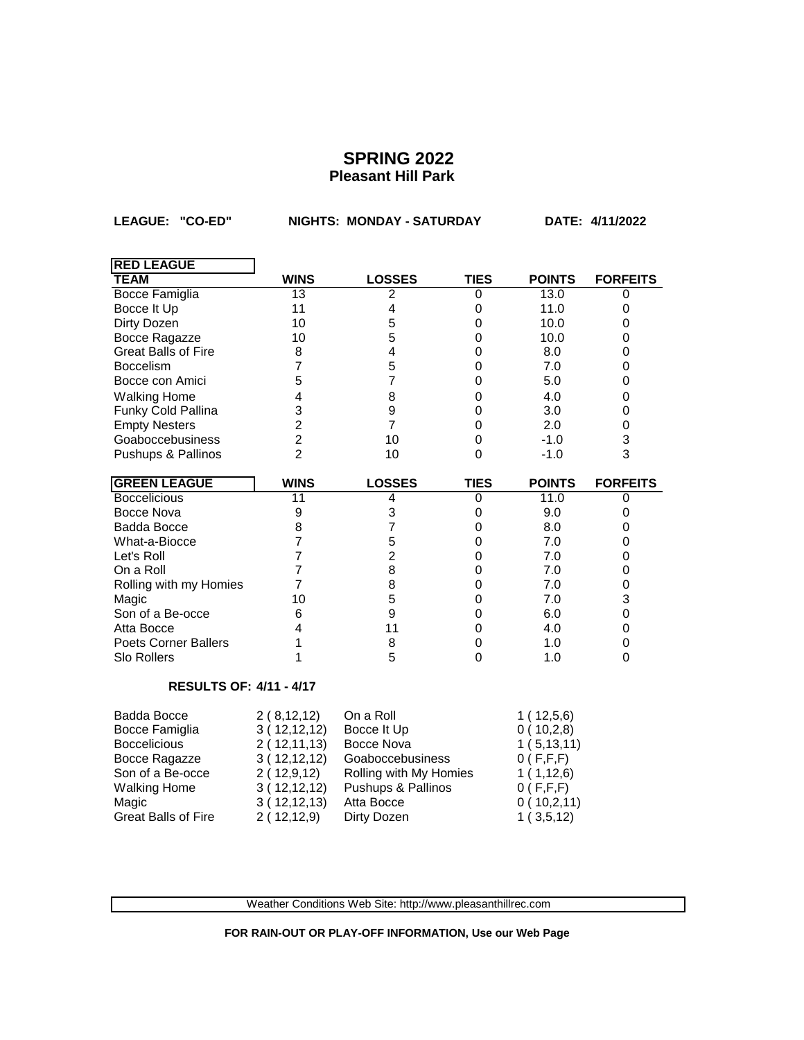LEAGUE: "CO-ED" **NIGHTS: MONDAY - SATURDAY** DATE: 4/11/2022

| <b>RED LEAGUE</b>              |                |                        |                  |                             |                 |
|--------------------------------|----------------|------------------------|------------------|-----------------------------|-----------------|
| <b>TEAM</b>                    | <b>WINS</b>    | <b>LOSSES</b>          | <b>TIES</b>      | <b>POINTS</b>               | <b>FORFEITS</b> |
| <b>Bocce Famiglia</b>          | 13             | 2                      | $\mathbf 0$      | 13.0                        | 0               |
| Bocce It Up                    | 11             | 4                      | 0                | 11.0                        | 0               |
| Dirty Dozen                    | 10             | 5                      | 0                | 10.0                        | 0               |
| Bocce Ragazze                  | 10             | 5                      | $\boldsymbol{0}$ | 10.0                        | 0               |
| <b>Great Balls of Fire</b>     | 8              | 4                      | 0                | 8.0                         | 0               |
| <b>Boccelism</b>               | $\overline{7}$ | 5                      | $\boldsymbol{0}$ | 7.0                         | 0               |
| Bocce con Amici                | 5              | 7                      | $\boldsymbol{0}$ | 5.0                         | 0               |
| <b>Walking Home</b>            | 4              | 8                      | $\boldsymbol{0}$ | 4.0                         | 0               |
| Funky Cold Pallina             | 3              | 9                      | 0                | 3.0                         | 0               |
| <b>Empty Nesters</b>           | $\overline{2}$ | $\overline{7}$         | $\mathbf 0$      | 2.0                         | 0               |
| Goaboccebusiness               | $\overline{2}$ | 10                     | 0                | $-1.0$                      | 3               |
| Pushups & Pallinos             | $\overline{2}$ | 10                     | 0                | $-1.0$                      | 3               |
| <b>GREEN LEAGUE</b>            | <b>WINS</b>    | <b>LOSSES</b>          | <b>TIES</b>      | <b>POINTS</b>               | <b>FORFEITS</b> |
| <b>Boccelicious</b>            | 11             | 4                      | 0                | 11.0                        | 0               |
| Bocce Nova                     | 9              | 3                      | 0                | 9.0                         | 0               |
| Badda Bocce                    | 8              | 7                      | 0                | 8.0                         | 0               |
| What-a-Biocce                  | $\overline{7}$ | 5                      | 0                | 7.0                         | 0               |
| Let's Roll                     | $\overline{7}$ | $\overline{c}$         | 0                | 7.0                         | 0               |
| On a Roll                      | $\overline{7}$ | 8                      | 0                | 7.0                         | 0               |
| Rolling with my Homies         | $\overline{7}$ | 8                      | 0                | 7.0                         | 0               |
| Magic                          | 10             | 5                      | 0                | 7.0                         | 3               |
| Son of a Be-occe               | 6              | 9                      | 0                | 6.0                         | 0               |
| Atta Bocce                     | $\overline{4}$ | 11                     | 0                | 4.0                         | 0               |
| <b>Poets Corner Ballers</b>    | 1              | 8                      | 0                | 1.0                         | 0               |
| Slo Rollers                    | 1              | 5                      | 0                | 1.0                         | 0               |
| <b>RESULTS OF: 4/11 - 4/17</b> |                |                        |                  |                             |                 |
| <b>Badda Bocce</b>             | 2(8,12,12)     | On a Roll              |                  | 1(12,5,6)                   |                 |
| Bocce Famiglia                 | 3(12,12,12)    | Bocce It Up            |                  | 0(10,2,8)                   |                 |
| <b>Boccelicious</b>            | 2(12,11,13)    | Bocce Nova             |                  | 1(5, 13, 11)                |                 |
| Bocce Ragazze                  | 3(12,12,12)    | Goaboccebusiness       |                  | 0(F,F,F)                    |                 |
| Son of a Be-occe               | 2(12,9,12)     | Rolling with My Homies |                  | 1(1,12,6)                   |                 |
| <b>Walking Home</b>            | 3(12,12,12)    | Pushups & Pallinos     |                  | 0(F,F,F)                    |                 |
| Magic                          | 3(12,12,13)    | Atta Bocce             |                  | 0(10,2,11)                  |                 |
| <b>Great Balls of Fire</b>     | 2(12,12,9)     | Dirty Dozen            |                  | 3, 5, 12)<br>1 <sup>1</sup> |                 |

Weather Conditions Web Site: http://www.pleasanthillrec.com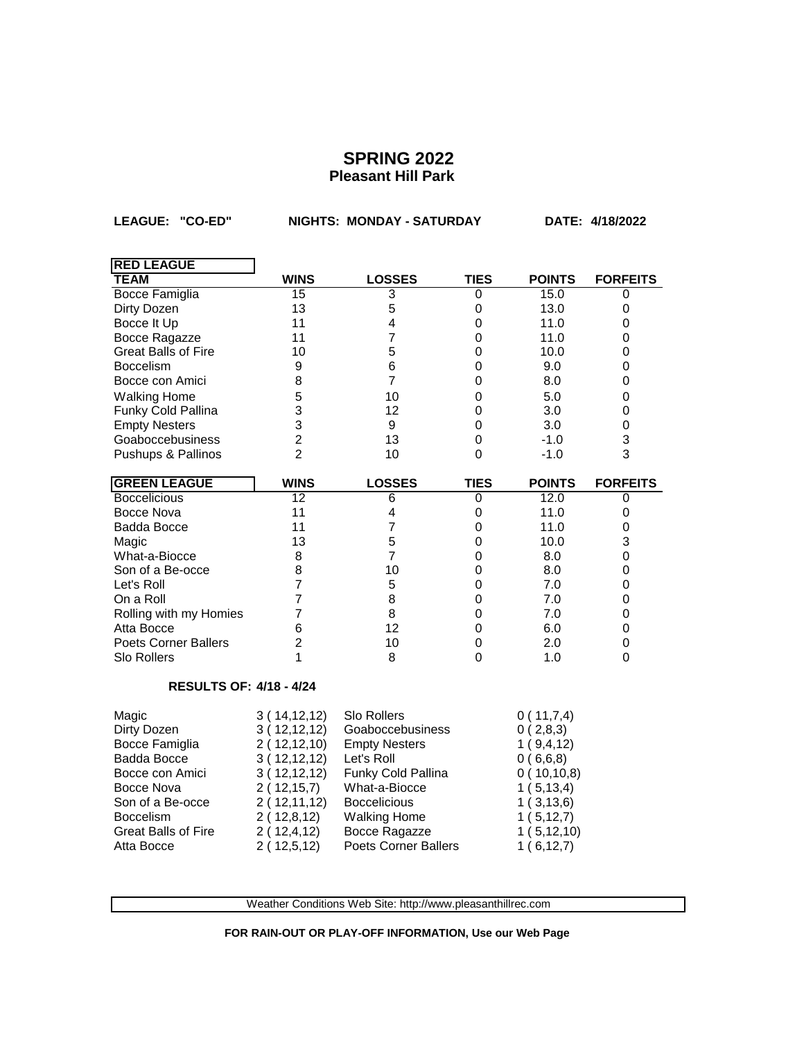**LEAGUE: "CO-ED" NIGHTS: MONDAY - SATURDAY DATE: 4/18/2022**

| <b>RED LEAGUE</b>              |                |                      |             |               |                 |
|--------------------------------|----------------|----------------------|-------------|---------------|-----------------|
| <b>TEAM</b>                    | <b>WINS</b>    | <b>LOSSES</b>        | <b>TIES</b> | <b>POINTS</b> | <b>FORFEITS</b> |
| <b>Bocce Famiglia</b>          | 15             | 3                    | 0           | 15.0          | 0               |
| Dirty Dozen                    | 13             | 5                    | 0           | 13.0          | 0               |
| Bocce It Up                    | 11             | 4                    | $\mathbf 0$ | 11.0          | 0               |
| Bocce Ragazze                  | 11             | 7                    | 0           | 11.0          | 0               |
| Great Balls of Fire            | 10             | 5                    | 0           | 10.0          | 0               |
| <b>Boccelism</b>               | 9              | 6                    | 0           | 9.0           | 0               |
| Bocce con Amici                | 8              | $\overline{7}$       | 0           | 8.0           | 0               |
| <b>Walking Home</b>            | 5              | 10                   | 0           | 5.0           | 0               |
| Funky Cold Pallina             | 3              | 12                   | 0           | 3.0           | 0               |
| <b>Empty Nesters</b>           | 3              | 9                    | $\mathbf 0$ | 3.0           | 0               |
| Goaboccebusiness               | $\overline{2}$ | 13                   | $\Omega$    | $-1.0$        | 3               |
| Pushups & Pallinos             | $\overline{2}$ | 10                   | 0           | $-1.0$        | 3               |
| <b>GREEN LEAGUE</b>            | <b>WINS</b>    | <b>LOSSES</b>        | <b>TIES</b> | <b>POINTS</b> | <b>FORFEITS</b> |
| <b>Boccelicious</b>            | 12             | 6                    | 0           | 12.0          | 0               |
| Bocce Nova                     | 11             | 4                    | 0           | 11.0          | 0               |
| Badda Bocce                    | 11             | 7                    | 0           | 11.0          | 0               |
| Magic                          | 13             | 5                    | 0           | 10.0          | 3               |
| What-a-Biocce                  | 8              | $\overline{7}$       | $\mathbf 0$ | 8.0           | $\mathbf 0$     |
| Son of a Be-occe               | 8              | 10                   | 0           | 8.0           | 0               |
| Let's Roll                     | $\overline{7}$ | 5                    | 0           | 7.0           | 0               |
| On a Roll                      | $\overline{7}$ | 8                    | 0           | 7.0           | 0               |
| Rolling with my Homies         | $\overline{7}$ | 8                    | $\mathbf 0$ | 7.0           | $\mathbf 0$     |
| Atta Bocce                     | 6              | 12                   | 0           | 6.0           | 0               |
| <b>Poets Corner Ballers</b>    | $\overline{2}$ | 10                   | 0           | 2.0           | 0               |
| Slo Rollers                    | 1              | 8                    | 0           | 1.0           | 0               |
| <b>RESULTS OF: 4/18 - 4/24</b> |                |                      |             |               |                 |
| Magic                          | 3(14, 12, 12)  | Slo Rollers          |             | 0(11,7,4)     |                 |
| Dirty Dozen                    | 3(12,12,12)    | Goaboccebusiness     |             | 0(2,8,3)      |                 |
| Bocce Famiglia                 | 2(12,12,10)    | <b>Empty Nesters</b> |             | 1(9,4,12)     |                 |
| Badda Bocce                    | 3(12,12,12)    | Let's Roll           |             | 0(6,6,8)      |                 |
| Bocce con Amici                | 3(12,12,12)    | Funky Cold Pallina   |             | 0(10,10,8)    |                 |
| Bocce Nova                     | 2(12,15,7)     | What-a-Biocce        |             | 1(5, 13, 4)   |                 |
| Son of a Be-occe               | 2(12,11,12)    | <b>Boccelicious</b>  |             | 1(3,13,6)     |                 |
| <b>Boccelism</b>               | 2(12,8,12)     | <b>Walking Home</b>  |             | 1(5, 12, 7)   |                 |
| <b>Great Balls of Fire</b>     | 2 (12,4,12)    | Bocce Ragazze        |             | 1(5, 12, 10)  |                 |
| Atta Bocce                     | 2(12,5,12)     | Poets Corner Ballers |             | 1(6, 12, 7)   |                 |

Weather Conditions Web Site: http://www.pleasanthillrec.com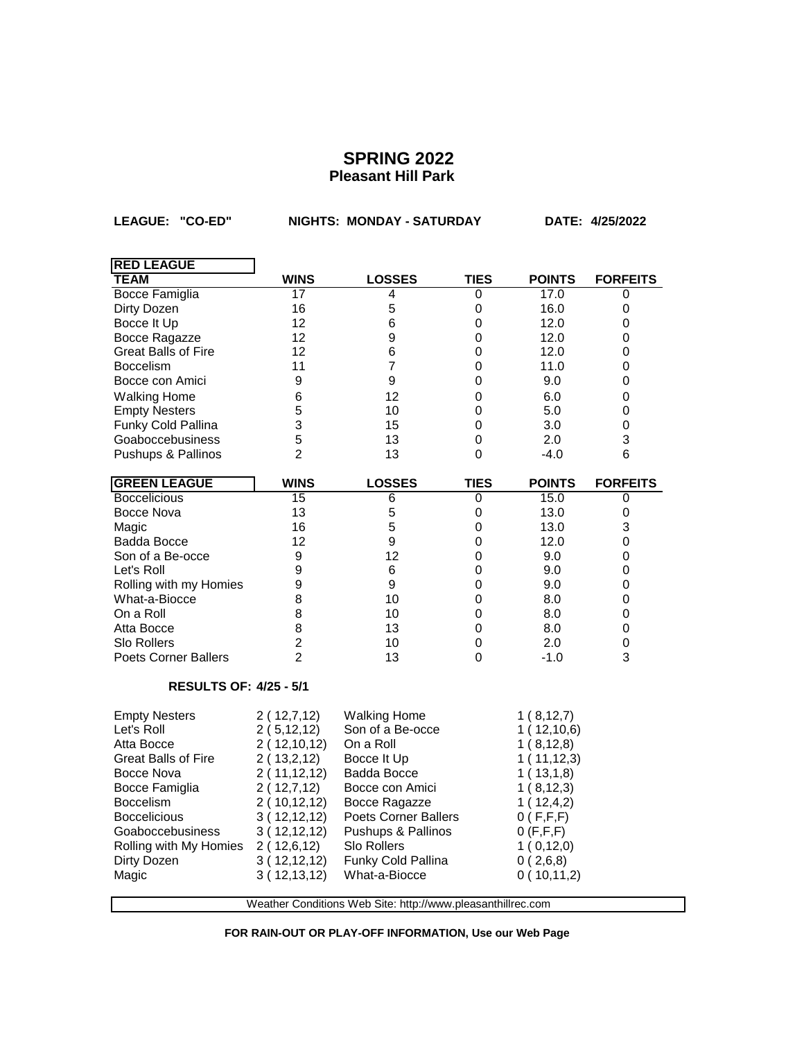$\overline{\phantom{0}}$ 

**LEAGUE: "CO-ED" NIGHTS: MONDAY - SATURDAY DATE: 4/25/2022**

| <b>RED LEAGUE</b>                                           |                 |                      |             |               |                 |
|-------------------------------------------------------------|-----------------|----------------------|-------------|---------------|-----------------|
| <b>TEAM</b>                                                 | <b>WINS</b>     | <b>LOSSES</b>        | TIES        | <b>POINTS</b> | <b>FORFEITS</b> |
| <b>Bocce Famiglia</b>                                       | $\overline{17}$ | 4                    | 0           | 17.0          | 0               |
| Dirty Dozen                                                 | 16              | 5                    | 0           | 16.0          | 0               |
| Bocce It Up                                                 | 12              | 6                    | 0           | 12.0          | 0               |
| Bocce Ragazze                                               | 12              | 9                    | 0           | 12.0          | 0               |
| <b>Great Balls of Fire</b>                                  | 12              | 6                    | 0           | 12.0          | 0               |
| <b>Boccelism</b>                                            | 11              | $\overline{7}$       | 0           | 11.0          | 0               |
| Bocce con Amici                                             | 9               | 9                    | 0           | 9.0           | 0               |
| <b>Walking Home</b>                                         | 6               | 12                   | 0           | 6.0           | 0               |
| <b>Empty Nesters</b>                                        | 5               | 10                   | 0           | 5.0           | 0               |
| Funky Cold Pallina                                          | 3               | 15                   | 0           | 3.0           | $\mathbf 0$     |
| Goaboccebusiness                                            | 5               | 13                   | 0           | 2.0           | 3               |
| Pushups & Pallinos                                          | $\overline{2}$  | 13                   | 0           | $-4.0$        | 6               |
| <b>GREEN LEAGUE</b>                                         | <b>WINS</b>     | <b>LOSSES</b>        | <b>TIES</b> | <b>POINTS</b> | <b>FORFEITS</b> |
| <b>Boccelicious</b>                                         | 15              | 6                    | 0           | 15.0          | 0               |
| <b>Bocce Nova</b>                                           | 13              | 5                    | 0           | 13.0          | 0               |
| Magic                                                       | 16              | 5                    | 0           | 13.0          | 3               |
| Badda Bocce                                                 | 12              | 9                    | 0           | 12.0          | 0               |
| Son of a Be-occe                                            | 9               | 12                   | 0           | 9.0           | 0               |
| Let's Roll                                                  | 9               | 6                    | 0           | 9.0           | 0               |
| Rolling with my Homies                                      | 9               | 9                    | 0           | 9.0           | 0               |
| What-a-Biocce                                               | 8               | 10                   | 0           | 8.0           | 0               |
| On a Roll                                                   | 8               | 10                   | 0           | 8.0           | 0               |
| Atta Bocce                                                  | 8               | 13                   | 0           | 8.0           | 0               |
| <b>Slo Rollers</b>                                          | $\overline{c}$  | 10                   | 0           | 2.0           | 0               |
| <b>Poets Corner Ballers</b>                                 | $\overline{2}$  | 13                   | 0           | $-1.0$        | 3               |
| <b>RESULTS OF: 4/25 - 5/1</b>                               |                 |                      |             |               |                 |
| <b>Empty Nesters</b>                                        | 2(12,7,12)      | <b>Walking Home</b>  |             | 1(8, 12, 7)   |                 |
| Let's Roll                                                  | 2(5, 12, 12)    | Son of a Be-occe     |             | 1(12,10,6)    |                 |
| Atta Bocce                                                  | 2(12,10,12)     | On a Roll            |             | 1(8,12,8)     |                 |
| <b>Great Balls of Fire</b>                                  | 2(13,2,12)      | Bocce It Up          |             | 1(11,12,3)    |                 |
| <b>Bocce Nova</b>                                           | 2(11, 12, 12)   | <b>Badda Bocce</b>   |             | 1(13,1,8)     |                 |
| Bocce Famiglia                                              | 2(12,7,12)      | Bocce con Amici      |             | 1(8, 12, 3)   |                 |
| <b>Boccelism</b>                                            | 2(10,12,12)     | Bocce Ragazze        |             | 1(12,4,2)     |                 |
| <b>Boccelicious</b>                                         | 3(12,12,12)     | Poets Corner Ballers |             | 0(F,F,F)      |                 |
| Goaboccebusiness                                            | 3(12,12,12)     | Pushups & Pallinos   |             | 0(F, F, F)    |                 |
| Rolling with My Homies                                      | 2(12,6,12)      | <b>Slo Rollers</b>   |             | 1(0,12,0)     |                 |
| Dirty Dozen                                                 | 3(12,12,12)     | Funky Cold Pallina   |             | 0(2,6,8)      |                 |
| Magic                                                       | 3(12, 13, 12)   | What-a-Biocce        |             | 0(10,11,2)    |                 |
|                                                             |                 |                      |             |               |                 |
| Weather Conditions Web Site: http://www.pleasanthillrec.com |                 |                      |             |               |                 |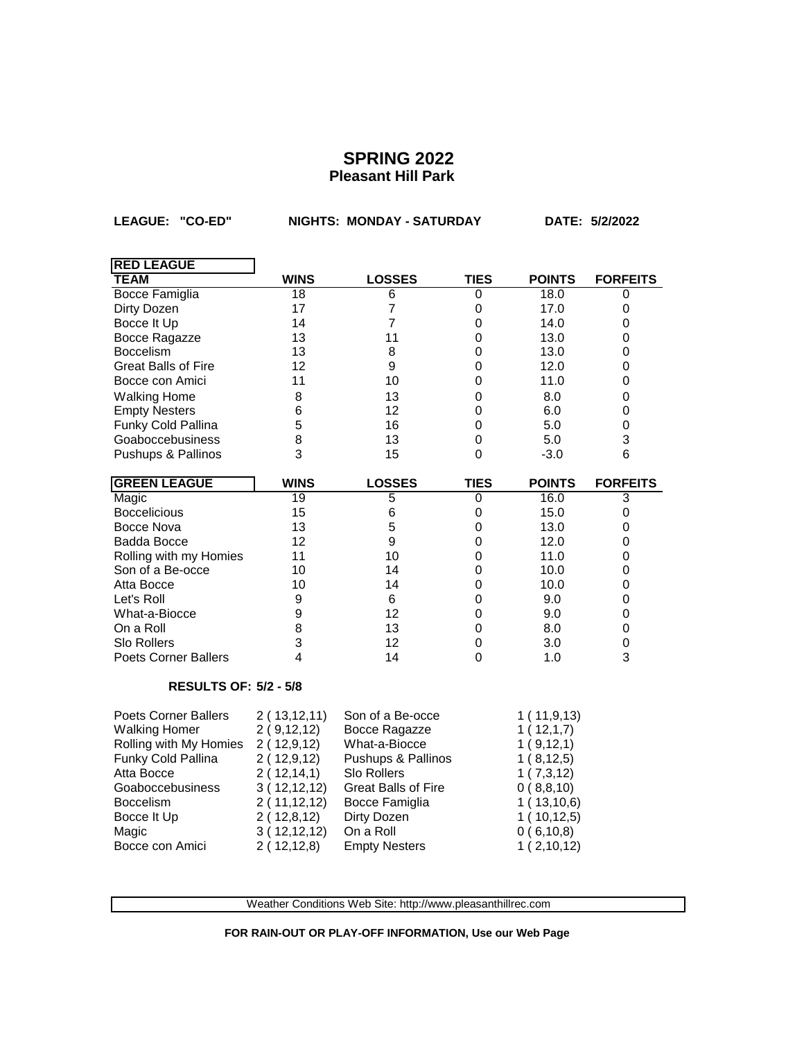**LEAGUE: "CO-ED" NIGHTS: MONDAY - SATURDAY DATE: 5/2/2022**

| <b>RED LEAGUE</b>            |               |                            |                  |               |                 |
|------------------------------|---------------|----------------------------|------------------|---------------|-----------------|
| <b>TEAM</b>                  | <b>WINS</b>   | <b>LOSSES</b>              | <b>TIES</b>      | <b>POINTS</b> | <b>FORFEITS</b> |
| <b>Bocce Famiglia</b>        | 18            | 6                          | 0                | 18.0          | 0               |
| Dirty Dozen                  | 17            | $\overline{7}$             | $\mathbf 0$      | 17.0          | 0               |
| Bocce It Up                  | 14            | $\overline{7}$             | 0                | 14.0          | 0               |
| Bocce Ragazze                | 13            | 11                         | 0                | 13.0          | 0               |
| <b>Boccelism</b>             | 13            | 8                          | 0                | 13.0          | 0               |
| <b>Great Balls of Fire</b>   | 12            | 9                          | $\mathbf 0$      | 12.0          | 0               |
| Bocce con Amici              | 11            | 10                         | $\mathbf 0$      | 11.0          | 0               |
| <b>Walking Home</b>          | 8             | 13                         | $\mathbf 0$      | 8.0           | 0               |
| <b>Empty Nesters</b>         | 6             | 12                         | $\mathbf 0$      | 6.0           | 0               |
| Funky Cold Pallina           | 5             | 16                         | $\mathbf 0$      | 5.0           | 0               |
| Goaboccebusiness             | 8             | 13                         | $\mathbf 0$      | 5.0           | 3               |
| Pushups & Pallinos           | 3             | 15                         | $\mathbf 0$      | $-3.0$        | 6               |
| <b>GREEN LEAGUE</b>          | <b>WINS</b>   | <b>LOSSES</b>              | <b>TIES</b>      | <b>POINTS</b> | <b>FORFEITS</b> |
| Magic                        | 19            | $\overline{5}$             | $\overline{0}$   | 16.0          | 3               |
| <b>Boccelicious</b>          | 15            | 6                          | $\boldsymbol{0}$ | 15.0          | 0               |
| Bocce Nova                   | 13            | 5                          | $\boldsymbol{0}$ | 13.0          | 0               |
| <b>Badda Bocce</b>           | 12            | 9                          | $\mathbf 0$      | 12.0          | 0               |
| Rolling with my Homies       | 11            | 10                         | $\mathbf 0$      | 11.0          | 0               |
| Son of a Be-occe             | 10            | 14                         | $\Omega$         | 10.0          | 0               |
| Atta Bocce                   | 10            | 14                         | $\mathbf 0$      | 10.0          | 0               |
| Let's Roll                   | 9             | 6                          | 0                | 9.0           | 0               |
| What-a-Biocce                | 9             | 12                         | $\mathbf 0$      | 9.0           | 0               |
| On a Roll                    | 8             | 13                         | $\Omega$         | 8.0           | 0               |
| <b>Slo Rollers</b>           | 3             | 12                         | 0                | 3.0           | 0               |
| <b>Poets Corner Ballers</b>  | 4             | 14                         | $\Omega$         | 1.0           | 3               |
| <b>RESULTS OF: 5/2 - 5/8</b> |               |                            |                  |               |                 |
| <b>Poets Corner Ballers</b>  | 2(13, 12, 11) | Son of a Be-occe           |                  | 1(11,9,13)    |                 |
| <b>Walking Homer</b>         | 2(9,12,12)    | Bocce Ragazze              |                  | 1(12,1,7)     |                 |
| Rolling with My Homies       | 2(12,9,12)    | What-a-Biocce              |                  | 1(9,12,1)     |                 |
| Funky Cold Pallina           | 2(12,9,12)    | Pushups & Pallinos         |                  | 1(8, 12, 5)   |                 |
| Atta Bocce                   | 2(12,14,1)    | Slo Rollers                |                  | 1(7,3,12)     |                 |
| Goaboccebusiness             | 3(12,12,12)   | <b>Great Balls of Fire</b> |                  | 0(8,8,10)     |                 |
| Boccelism                    | 2(11,12,12)   | Bocce Famiglia             |                  | 1(13,10,6)    |                 |
| Bocce It Up                  | 2(12,8,12)    | Dirty Dozen                |                  | 1(10, 12, 5)  |                 |

Weather Conditions Web Site: http://www.pleasanthillrec.com

Magic 3 ( 12,12,12) On a Roll 0 ( 6,10,8) Bocce con Amici  $2(12,12,8)$  Empty Nesters 1 ( 2,10,12)